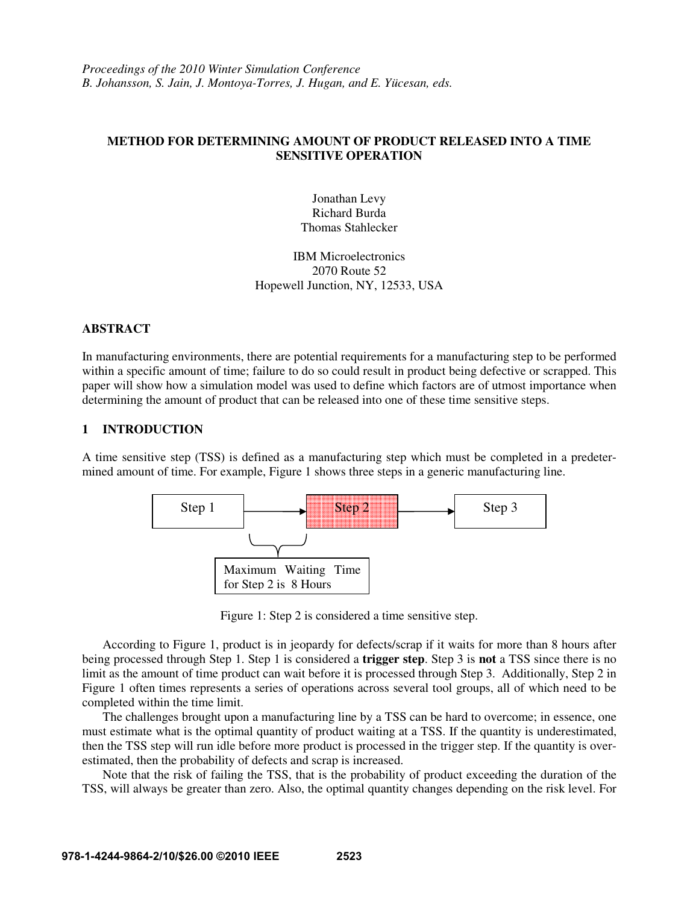# **METHOD FOR DETERMINING AMOUNT OF PRODUCT RELEASED INTO A TIME SENSITIVE OPERATION**

Jonathan Levy Richard Burda Thomas Stahlecker

IBM Microelectronics 2070 Route 52 Hopewell Junction, NY, 12533, USA

#### **ABSTRACT**

In manufacturing environments, there are potential requirements for a manufacturing step to be performed within a specific amount of time; failure to do so could result in product being defective or scrapped. This paper will show how a simulation model was used to define which factors are of utmost importance when determining the amount of product that can be released into one of these time sensitive steps.

### **1 INTRODUCTION**

A time sensitive step (TSS) is defined as a manufacturing step which must be completed in a predetermined amount of time. For example, Figure 1 shows three steps in a generic manufacturing line.



Figure 1: Step 2 is considered a time sensitive step.

According to Figure 1, product is in jeopardy for defects/scrap if it waits for more than 8 hours after being processed through Step 1. Step 1 is considered a **trigger step**. Step 3 is **not** a TSS since there is no limit as the amount of time product can wait before it is processed through Step 3. Additionally, Step 2 in Figure 1 often times represents a series of operations across several tool groups, all of which need to be completed within the time limit.

The challenges brought upon a manufacturing line by a TSS can be hard to overcome; in essence, one must estimate what is the optimal quantity of product waiting at a TSS. If the quantity is underestimated, then the TSS step will run idle before more product is processed in the trigger step. If the quantity is overestimated, then the probability of defects and scrap is increased.

Note that the risk of failing the TSS, that is the probability of product exceeding the duration of the TSS, will always be greater than zero. Also, the optimal quantity changes depending on the risk level. For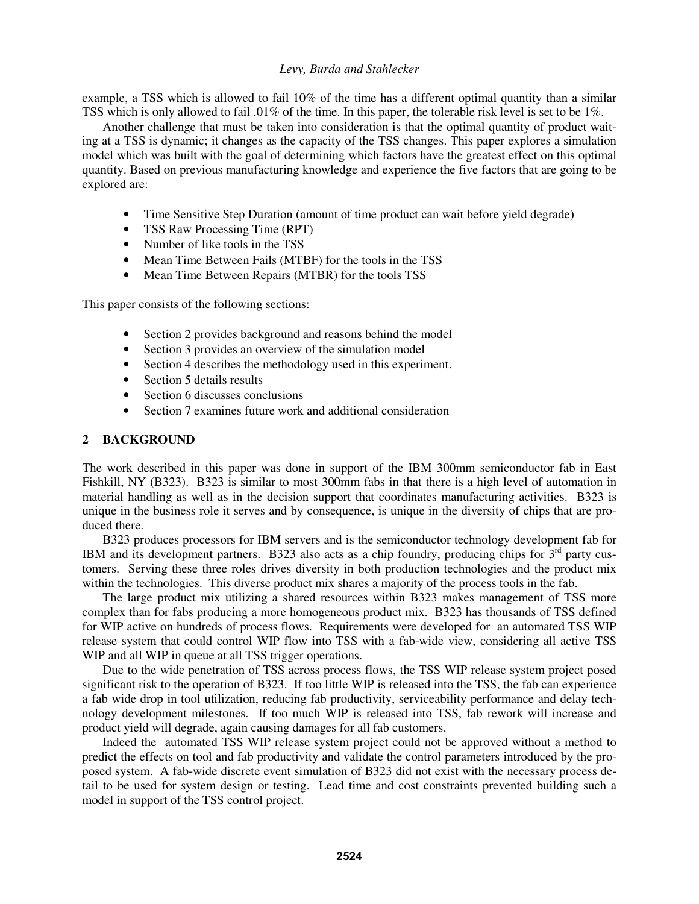example, a TSS which is allowed to fail 10% of the time has a different optimal quantity than a similar TSS which is only allowed to fail .01% of the time. In this paper, the tolerable risk level is set to be 1%.

 Another challenge that must be taken into consideration is that the optimal quantity of product waiting at a TSS is dynamic; it changes as the capacity of the TSS changes. This paper explores a simulation model which was built with the goal of determining which factors have the greatest effect on this optimal quantity. Based on previous manufacturing knowledge and experience the five factors that are going to be explored are:

- Time Sensitive Step Duration (amount of time product can wait before yield degrade)
- TSS Raw Processing Time (RPT)
- Number of like tools in the TSS
- Mean Time Between Fails (MTBF) for the tools in the TSS
- Mean Time Between Repairs (MTBR) for the tools TSS

This paper consists of the following sections:

- Section 2 provides background and reasons behind the model
- Section 3 provides an overview of the simulation model
- Section 4 describes the methodology used in this experiment.
- Section 5 details results
- Section 6 discusses conclusions
- Section 7 examines future work and additional consideration

# **2 BACKGROUND**

The work described in this paper was done in support of the IBM 300mm semiconductor fab in East Fishkill, NY (B323). B323 is similar to most 300mm fabs in that there is a high level of automation in material handling as well as in the decision support that coordinates manufacturing activities. B323 is unique in the business role it serves and by consequence, is unique in the diversity of chips that are produced there.

 B323 produces processors for IBM servers and is the semiconductor technology development fab for IBM and its development partners. B323 also acts as a chip foundry, producing chips for  $3<sup>rd</sup>$  party customers. Serving these three roles drives diversity in both production technologies and the product mix within the technologies. This diverse product mix shares a majority of the process tools in the fab.

 The large product mix utilizing a shared resources within B323 makes management of TSS more complex than for fabs producing a more homogeneous product mix. B323 has thousands of TSS defined for WIP active on hundreds of process flows. Requirements were developed for an automated TSS WIP release system that could control WIP flow into TSS with a fab-wide view, considering all active TSS WIP and all WIP in queue at all TSS trigger operations.

 Due to the wide penetration of TSS across process flows, the TSS WIP release system project posed significant risk to the operation of B323. If too little WIP is released into the TSS, the fab can experience a fab wide drop in tool utilization, reducing fab productivity, serviceability performance and delay technology development milestones. If too much WIP is released into TSS, fab rework will increase and product yield will degrade, again causing damages for all fab customers.

 Indeed the automated TSS WIP release system project could not be approved without a method to predict the effects on tool and fab productivity and validate the control parameters introduced by the proposed system. A fab-wide discrete event simulation of B323 did not exist with the necessary process detail to be used for system design or testing. Lead time and cost constraints prevented building such a model in support of the TSS control project.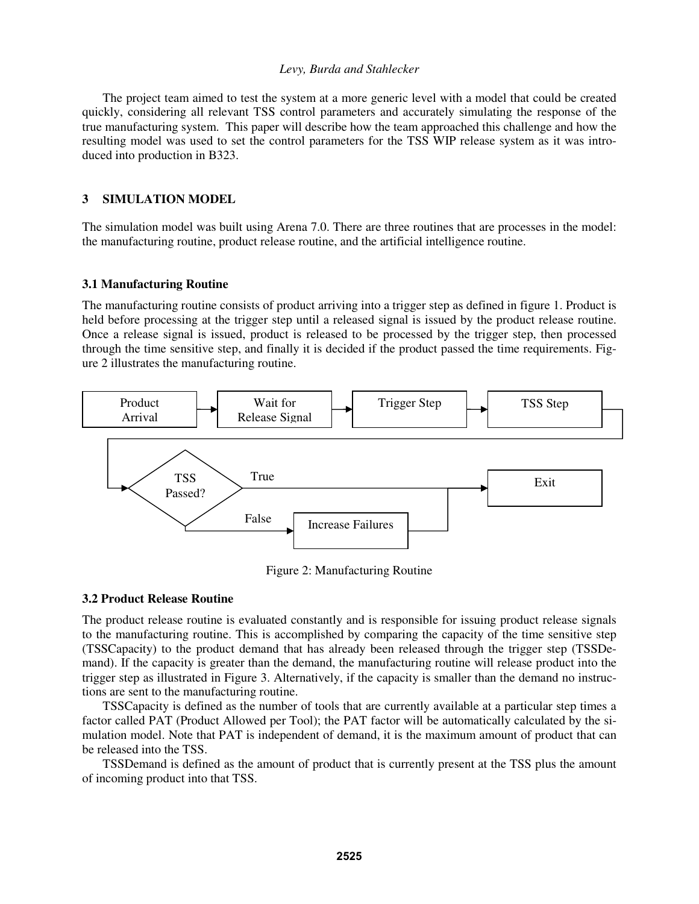The project team aimed to test the system at a more generic level with a model that could be created quickly, considering all relevant TSS control parameters and accurately simulating the response of the true manufacturing system. This paper will describe how the team approached this challenge and how the resulting model was used to set the control parameters for the TSS WIP release system as it was introduced into production in B323.

## **3 SIMULATION MODEL**

The simulation model was built using Arena 7.0. There are three routines that are processes in the model: the manufacturing routine, product release routine, and the artificial intelligence routine.

#### **3.1 Manufacturing Routine**

The manufacturing routine consists of product arriving into a trigger step as defined in figure 1. Product is held before processing at the trigger step until a released signal is issued by the product release routine. Once a release signal is issued, product is released to be processed by the trigger step, then processed through the time sensitive step, and finally it is decided if the product passed the time requirements. Figure 2 illustrates the manufacturing routine.



Figure 2: Manufacturing Routine

#### **3.2 Product Release Routine**

The product release routine is evaluated constantly and is responsible for issuing product release signals to the manufacturing routine. This is accomplished by comparing the capacity of the time sensitive step (TSSCapacity) to the product demand that has already been released through the trigger step (TSSDemand). If the capacity is greater than the demand, the manufacturing routine will release product into the trigger step as illustrated in Figure 3. Alternatively, if the capacity is smaller than the demand no instructions are sent to the manufacturing routine.

TSSCapacity is defined as the number of tools that are currently available at a particular step times a factor called PAT (Product Allowed per Tool); the PAT factor will be automatically calculated by the simulation model. Note that PAT is independent of demand, it is the maximum amount of product that can be released into the TSS.

TSSDemand is defined as the amount of product that is currently present at the TSS plus the amount of incoming product into that TSS.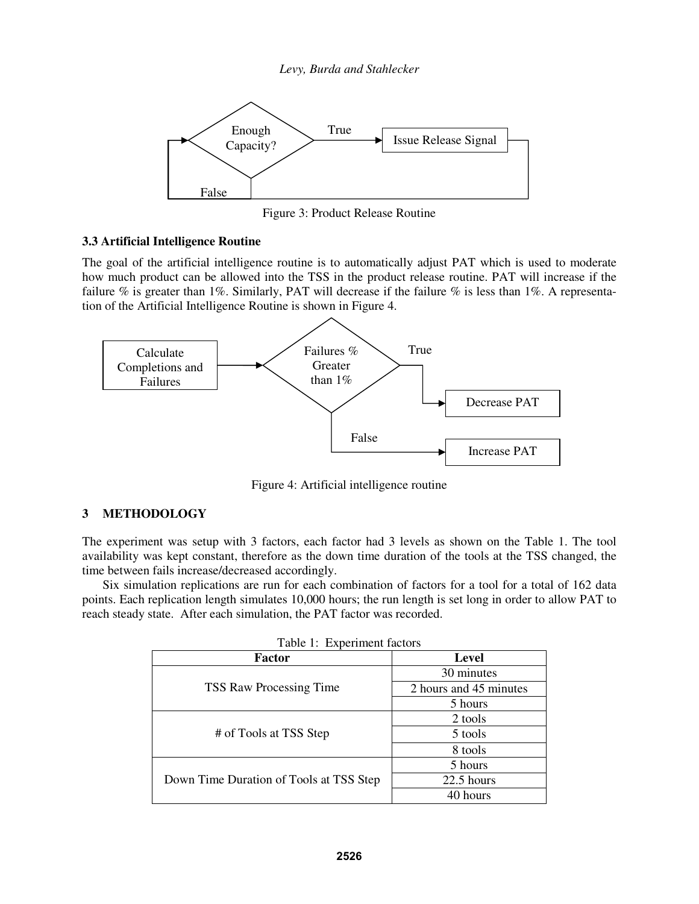

Figure 3: Product Release Routine

# **3.3 Artificial Intelligence Routine**

The goal of the artificial intelligence routine is to automatically adjust PAT which is used to moderate how much product can be allowed into the TSS in the product release routine. PAT will increase if the failure % is greater than 1%. Similarly, PAT will decrease if the failure % is less than  $1\%$ . A representation of the Artificial Intelligence Routine is shown in Figure 4.



Figure 4: Artificial intelligence routine

# **3 METHODOLOGY**

The experiment was setup with 3 factors, each factor had 3 levels as shown on the Table 1. The tool availability was kept constant, therefore as the down time duration of the tools at the TSS changed, the time between fails increase/decreased accordingly.

Six simulation replications are run for each combination of factors for a tool for a total of 162 data points. Each replication length simulates 10,000 hours; the run length is set long in order to allow PAT to reach steady state. After each simulation, the PAT factor was recorded.

| Factor                                  | Level                  |  |
|-----------------------------------------|------------------------|--|
|                                         | 30 minutes             |  |
| TSS Raw Processing Time                 | 2 hours and 45 minutes |  |
|                                         | 5 hours                |  |
| # of Tools at TSS Step                  | 2 tools                |  |
|                                         | 5 tools                |  |
|                                         | 8 tools                |  |
|                                         | 5 hours                |  |
| Down Time Duration of Tools at TSS Step | 22.5 hours             |  |
|                                         | 40 hours               |  |

Table 1: Experiment factors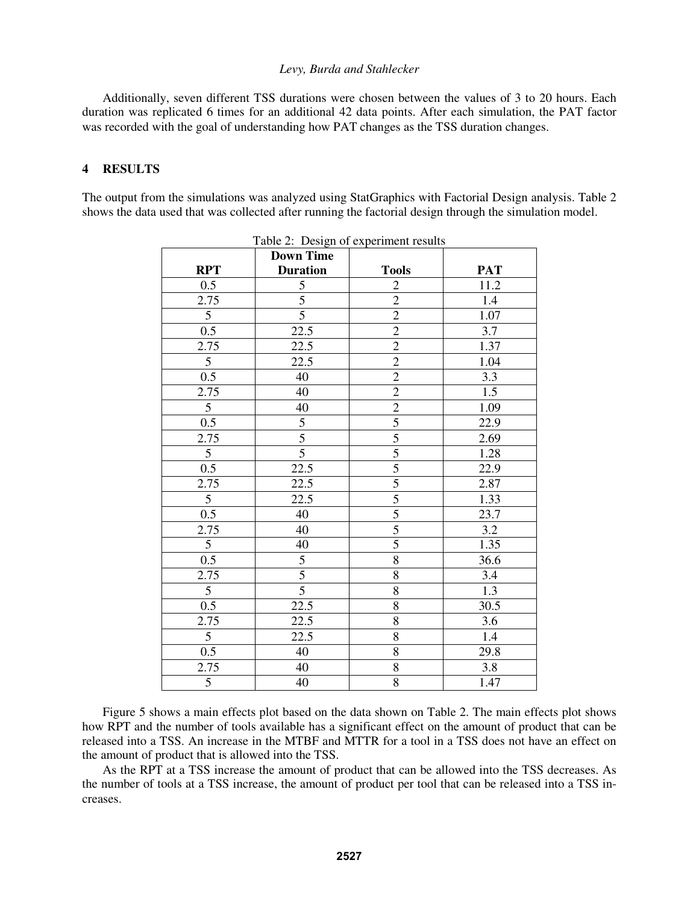Additionally, seven different TSS durations were chosen between the values of 3 to 20 hours. Each duration was replicated 6 times for an additional 42 data points. After each simulation, the PAT factor was recorded with the goal of understanding how PAT changes as the TSS duration changes.

## **4 RESULTS**

The output from the simulations was analyzed using StatGraphics with Factorial Design analysis. Table 2 shows the data used that was collected after running the factorial design through the simulation model.

|                  | <b>Down Time</b>        |                |                  |
|------------------|-------------------------|----------------|------------------|
| <b>RPT</b>       | <b>Duration</b>         | <b>Tools</b>   | <b>PAT</b>       |
| 0.5              | 5                       | $\overline{2}$ | 11.2             |
| 2.75             | $\frac{5}{5}$           | $\frac{2}{2}$  | 1.4              |
| $\overline{5}$   |                         |                | 1.07             |
| $\overline{0.5}$ | 22.5                    | $\overline{2}$ | $3.7\,$          |
| 2.75             | 22.5                    | $\overline{2}$ | 1.37             |
| $5\phantom{.0}$  | 22.5                    | $\overline{2}$ | 1.04             |
| $0.5\,$          | 40                      | $\overline{2}$ | 3.3              |
| 2.75             | 40                      | $\overline{2}$ | $1.\overline{5}$ |
| $\overline{5}$   | 40                      | $\overline{2}$ | 1.09             |
| 0.5              | $\overline{5}$          | 5              | 22.9             |
| 2.75             | $\overline{5}$          | $\frac{5}{5}$  | 2.69             |
| $\overline{5}$   | $\overline{5}$          |                | 1.28             |
| 0.5              | 22.5                    |                | 22.9             |
| 2.75             | 22.5                    | $\overline{5}$ | 2.87             |
| $\overline{5}$   | 22.5                    | $\frac{5}{5}$  | 1.33             |
| 0.5              | 40                      |                | 23.7             |
| 2.75             | 40                      | $\overline{5}$ | $3.2\,$          |
| $\overline{5}$   | 40                      | $\overline{5}$ | 1.35             |
| 0.5              | $\overline{\mathbf{5}}$ | $\overline{8}$ | 36.6             |
| 2.75             | $\overline{5}$          | $\overline{8}$ | 3.4              |
| $\overline{5}$   | $\overline{5}$          | 8              | 1.3              |
| 0.5              | 22.5                    | 8              | 30.5             |
| 2.75             | 22.5                    | 8              | 3.6              |
| $\overline{5}$   | 22.5                    | 8              | 1.4              |
| 0.5              | 40                      | $\overline{8}$ | 29.8             |
| 2.75             | 40                      | $\overline{8}$ | 3.8              |
| 5                | 40                      | $\overline{8}$ | 1.47             |

| Table 2: Design of experiment results |  |  |
|---------------------------------------|--|--|
|                                       |  |  |

 Figure 5 shows a main effects plot based on the data shown on Table 2. The main effects plot shows how RPT and the number of tools available has a significant effect on the amount of product that can be released into a TSS. An increase in the MTBF and MTTR for a tool in a TSS does not have an effect on the amount of product that is allowed into the TSS.

 As the RPT at a TSS increase the amount of product that can be allowed into the TSS decreases. As the number of tools at a TSS increase, the amount of product per tool that can be released into a TSS increases.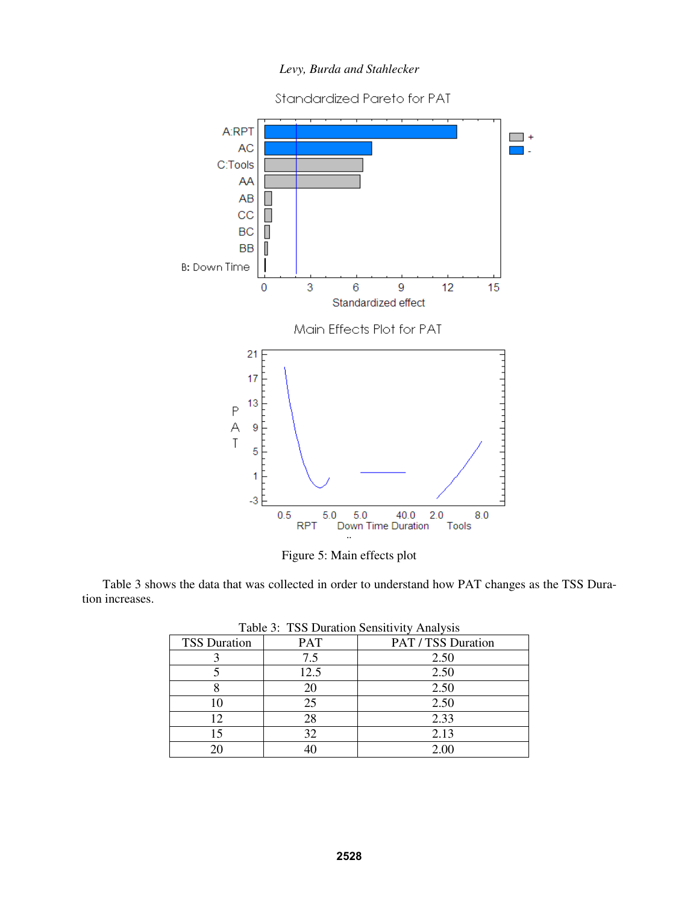*Levy, Burda and Stahlecker* 



Standardized Pareto for PAT

Figure 5: Main effects plot

Table 3 shows the data that was collected in order to understand how PAT changes as the TSS Duration increases.

| Lavie 5. 155 Duration Sensitivity Analysis |            |                    |  |  |
|--------------------------------------------|------------|--------------------|--|--|
| <b>TSS Duration</b>                        | <b>PAT</b> | PAT / TSS Duration |  |  |
|                                            | 7.5        | 2.50               |  |  |
|                                            | 12.5       | 2.50               |  |  |
|                                            | 20         | 2.50               |  |  |
| 10                                         | 25         | 2.50               |  |  |
| 12                                         | 28         | 2.33               |  |  |
| 15                                         | 32         | 2.13               |  |  |
|                                            |            | 2.00               |  |  |

Table 3: TSS Duration Sensitivity Analysis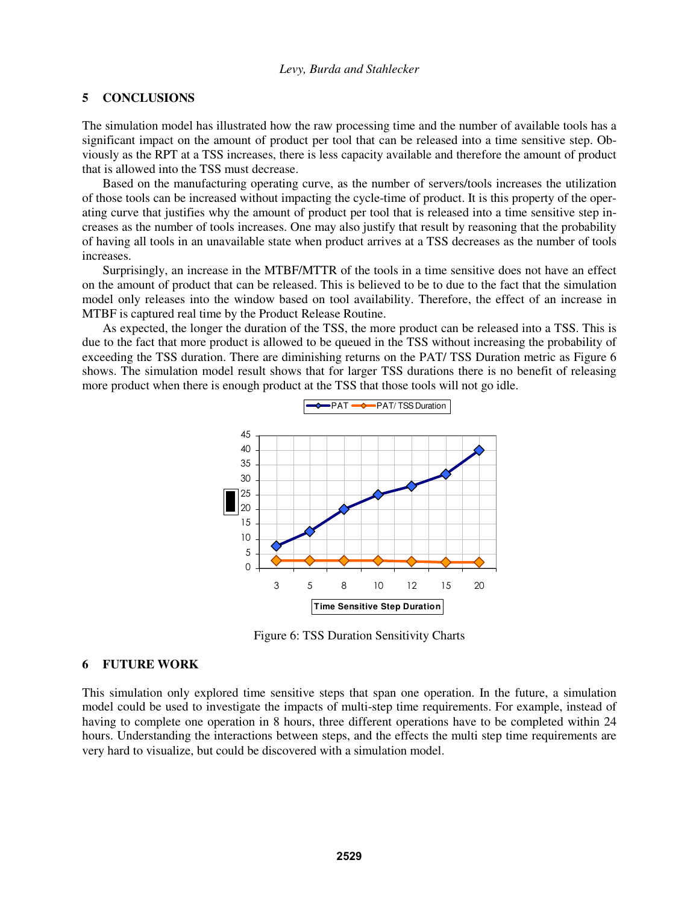#### **5 CONCLUSIONS**

The simulation model has illustrated how the raw processing time and the number of available tools has a significant impact on the amount of product per tool that can be released into a time sensitive step. Obviously as the RPT at a TSS increases, there is less capacity available and therefore the amount of product that is allowed into the TSS must decrease.

 Based on the manufacturing operating curve, as the number of servers/tools increases the utilization of those tools can be increased without impacting the cycle-time of product. It is this property of the operating curve that justifies why the amount of product per tool that is released into a time sensitive step increases as the number of tools increases. One may also justify that result by reasoning that the probability of having all tools in an unavailable state when product arrives at a TSS decreases as the number of tools increases.

Surprisingly, an increase in the MTBF/MTTR of the tools in a time sensitive does not have an effect on the amount of product that can be released. This is believed to be to due to the fact that the simulation model only releases into the window based on tool availability. Therefore, the effect of an increase in MTBF is captured real time by the Product Release Routine.

As expected, the longer the duration of the TSS, the more product can be released into a TSS. This is due to the fact that more product is allowed to be queued in the TSS without increasing the probability of exceeding the TSS duration. There are diminishing returns on the PAT/ TSS Duration metric as Figure 6 shows. The simulation model result shows that for larger TSS durations there is no benefit of releasing more product when there is enough product at the TSS that those tools will not go idle.

![](_page_6_Figure_6.jpeg)

Figure 6: TSS Duration Sensitivity Charts

#### **6 FUTURE WORK**

This simulation only explored time sensitive steps that span one operation. In the future, a simulation model could be used to investigate the impacts of multi-step time requirements. For example, instead of having to complete one operation in 8 hours, three different operations have to be completed within 24 hours. Understanding the interactions between steps, and the effects the multi step time requirements are very hard to visualize, but could be discovered with a simulation model.